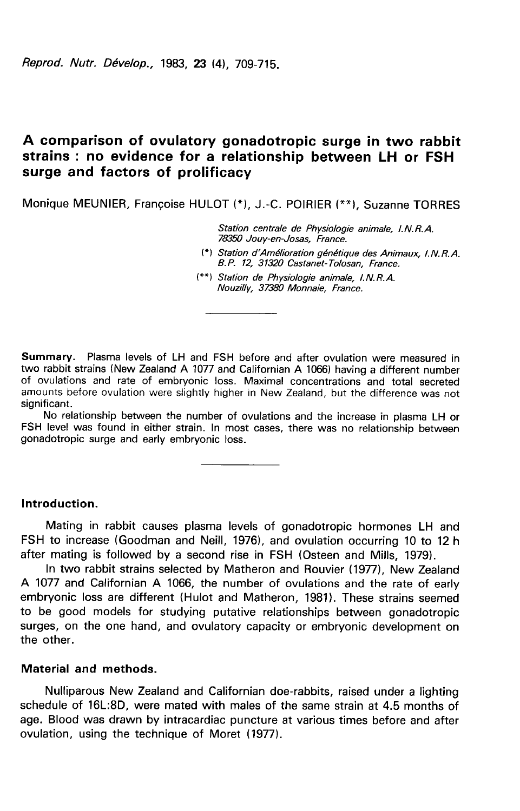Reprod. Nutr. Dévelop., 1983. 23 (4). 709-715.

# A comparison of ovulatory gonadotropic surge in two rabbit strains : no evidence for a relationship between LH or FSH surge and factors of prolificacy

Monique MEUNIER. Francoise HULOT (\*). J.-C. POIRIER (\*\*), Suzanne TORRES

Station centrale de Physiologie animale, I.N.R.A. 78350 Jouy-en-Josas, France.

(\*) Station d'Amélioration génétique des Animaux, I.N.R.A. B.P. 12, 31320 Castanet-Tolosan, France.

(\*\*) Station de Physiologie animale, I.N.R.A. Nouzilly, 37380 Monnaie, France.

Summary. Plasma levels of LH and FSH before and after ovulation were measured in two rabbit strains (New Zealand A 1077 and Californian A 1066) having a different number of ovulations and rate of embryonic loss. Maximal concentrations and total secreted amounts before ovulation were slightly higher in New Zealand, but the difference was not significant.

No relationship between the number of ovulations and the increase in plasma LH or FSH level was found in either strain. In most cases, there was no relationship between gonadotropic surge and early embryonic loss.

### Introduction.

Mating in rabbit causes plasma levels of gonadotropic hormones LH and FSFI to increase (Goodman and Neill, 1976), and ovulation occurring 10 to 12 h after mating is followed by a second rise in FSH (Osteen and Mills, 1979).

In two rabbit strains selected by Matheron and Rouvier (1977), New Zealand A 1077 and Californian A 1066, the number of ovulations and the rate of early embryonic loss are different (Hulot and Matheron, 1981). These strains seemed to be good models for studying putative relationships between gonadotropic surges, on the one hand, and ovulatory capacity or embryonic development on the other.

### Material and methods.

Nulliparous New Zealand and Californian doe-rabbits, raised under a lighting schedule of 16L:8D, were mated with males of the same strain at 4.5 months of age. Blood was drawn by intracardiac puncture at various times before and after ovulation, using the technique of Moret (1977).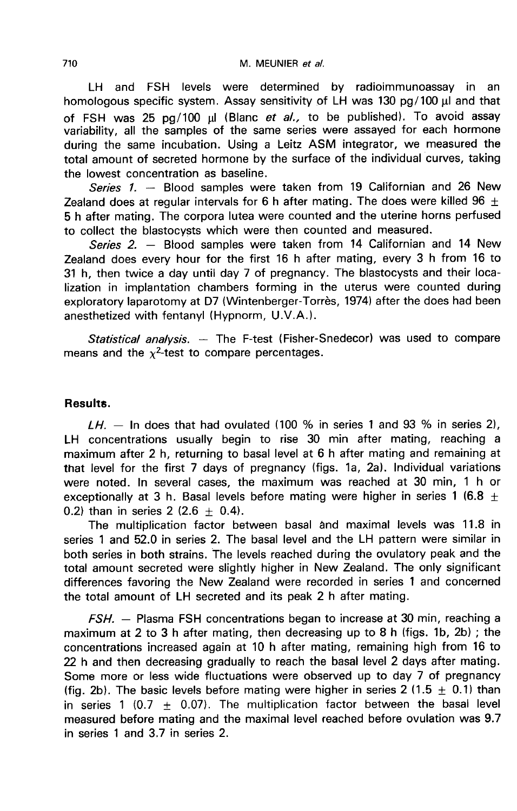LH and FSH levels were determined by radioimmunoassay in an homologous specific system. Assay sensitivity of LH was 130 pg/100 µl and that of FSH was 25 pg/100 ul (Blanc et al., to be published). To avoid assay variability, all the samples of the same series were assayed for each hormone during the same incubation. Using a Leitz ASM integrator, we measured the total amount of secreted hormone by the surface of the individual curves, taking the lowest concentration as baseline.

Series 1. - Blood samples were taken from 19 Californian and 26 New Zealand does at regular intervals for 6 h after mating. The does were killed 96  $\pm$ 5 h after mating. The corpora lutea were counted and the uterine horns perfused to collect the blastocysts which were then counted and measured.

Series 2. - Blood samples were taken from 14 Californian and 14 New Zealand does every hour for the first 16 h after mating, every 3 h from 16 to 31 h, then twice a day until day 7 of pregnancy. The blastocysts and their localization in implantation chambers forming in the uterus were counted during exploratory laparotomy at D7 (Wintenberger-Torrès, 1974) after the does had been anesthetized with fentanyl (Hypnorm, U.V.A.).

Statistical analysis. — The F-test (Fisher-Snedecor) was used to compare anesthetized with tentanyl (Hypnorm, U.V.A.).<br>S*tatistical analysis.* -- The F-test (Fisher-S<br>means and the  $\chi^2$ -test to compare percentages.

## Results.

 $LH.$  – In does that had ovulated (100 % in series 1 and 93 % in series 2). LH concentrations usually begin to rise 30 min after mating, reaching a maximum after 2 h, returning to basal level at 6 h after mating and remaining at that level for the first 7 days of pregnancy (figs. 1a, 2a). Individual variations were noted. In several cases, the maximum was reached at 30 min, 1 h or exceptionally at 3 h. Basal levels before mating were higher in series 1 (6.8  $\pm$ 0.2) than in series  $2(2.6 + 0.4)$ .

The multiplication factor between basal and maximal levels was 11.8 in series 1 and 52.0 in series 2. The basal level and the LH pattern were similar in both series in both strains. The levels reached during the ovulatory peak and the total amount secreted were slightly higher in New Zealand. The only significant differences favoring the New Zealand were recorded in series 1 and concerned the total amount of LH secreted and its peak 2 h after mating.

 $FSH.$  - Plasma FSH concentrations began to increase at 30 min, reaching a maximum at 2 to 3 h after mating, then decreasing up to 8 h (figs. 1b, 2b) ; the concentrations increased again at 10 h after mating, remaining high from 16 to 22 h and then decreasing gradually to reach the basal level 2 days after mating. Some more or less wide fluctuations were observed up to day 7 of pregnancy (fig. 2b). The basic levels before mating were higher in series 2 (1.5  $\pm$  0.1) than in series  $1$  (0.7  $+$  0.07). The multiplication factor between the basal level measured before mating and the maximal level reached before ovulation was 9.7 in series 1 and 3.7 in series 2.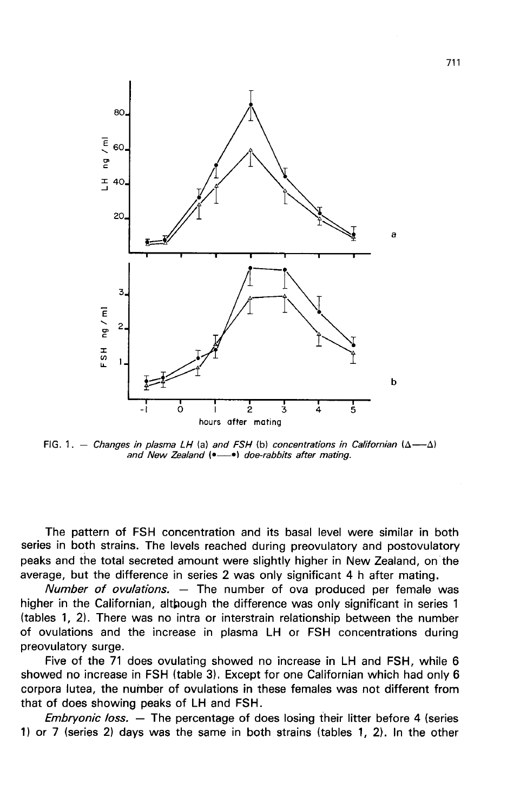

FIG. 1. - Changes in plasma LH (a) and FSH (b) concentrations in Californian  $(\Delta - \Delta)$ 

The pattern of FSH concentration and its basal level were similar in both series in both strains. The levels reached during preovulatory and postovulatory peaks and the total secreted amount were slightly higher in New Zealand, on the average, but the difference in series 2 was only significant 4 h after mating.

Number of ovulations. — The number of ova produced per female was higher in the Californian, although the difference was only significant in series 1 (tables 1, 21. There was no intra or interstrain relationship between the number of ovulations and the increase in plasma LH or FSH concentrations during preovulatory surge.

Five of the 71 does ovulating showed no increase in LH and FSH, while 6 showed no increase in FSH (table 3). Except for one Californian which had only 6 corpora lutea, the number of ovulations in these females was not different from that of does showing peaks of LH and FSH.

*Embryonic loss.*  $-$  The percentage of does losing their litter before 4 (series 1) or 7 (series 2) days was the same in both strains (tables 1, 2). In the other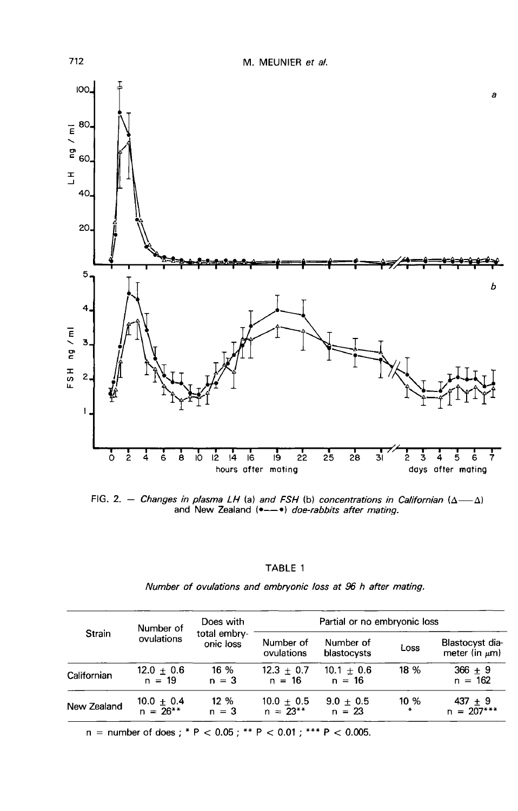

FIG. 2. - Changes in plasma LH (a) and FSH (b) concentrations in Californian  $(\Delta - \Delta)$ <br>and New Zealand (•---•) doe-rabbits after mating.

|--|--|--|--|

| Number of ovulations and embryonic loss at 96 h after mating. |  |  |  |  |  |  |
|---------------------------------------------------------------|--|--|--|--|--|--|
|---------------------------------------------------------------|--|--|--|--|--|--|

| <b>Strain</b> | Number of<br>ovulations    | Does with<br>total embry-<br>onic loss | Partial or no embryonic loss |                          |                |                                       |
|---------------|----------------------------|----------------------------------------|------------------------------|--------------------------|----------------|---------------------------------------|
|               |                            |                                        | Number of<br>ovulations      | Number of<br>blastocysts | Loss           | Blastocyst dia-<br>meter (in $\mu$ m) |
| Californian   | $12.0 + 0.6$<br>$n = 19$   | 16 %<br>$n = 3$                        | $12.3 + 0.7$<br>$n = 16$     | $10.1 + 0.6$<br>$n = 16$ | 18 %           | $366 + 9$<br>$n = 162$                |
| New Zealand   | $10.0 + 0.4$<br>$n = 26**$ | 12 %<br>$n = 3$                        | $10.0 + 0.5$<br>$n = 23**$   | $9.0 + 0.5$<br>$n = 23$  | 10 %<br>$\ast$ | $437 + 9$<br>$n = 207***$             |

 $n =$  number of does; \* P < 0.05; \*\* P < 0.01; \*\*\* P < 0.005.

712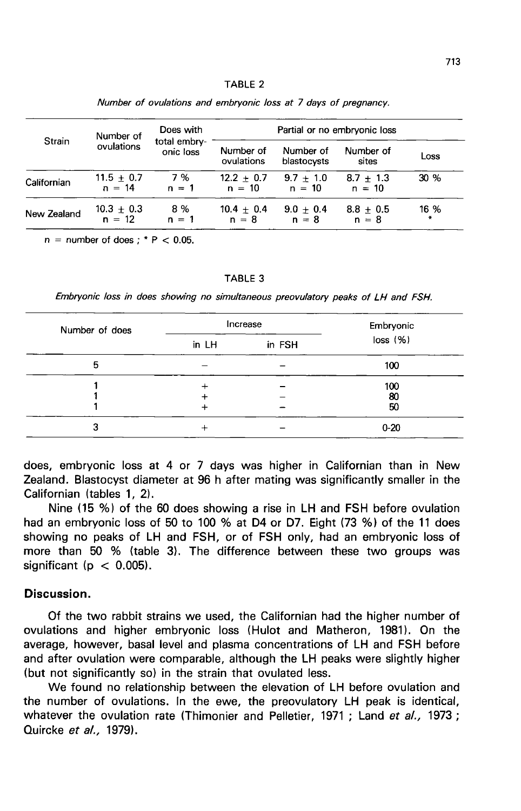|     | Number of | Does with    | Partial or no embryonic loss |
|-----|-----------|--------------|------------------------------|
| ain |           | total embry- |                              |

|             | Number of                | Does with                 | Partial or no embryonic loss |                          |                         |      |  |
|-------------|--------------------------|---------------------------|------------------------------|--------------------------|-------------------------|------|--|
| Strain      | ovulations               | total embry-<br>onic loss | Number of<br>ovulations      | Number of<br>blastocysts | Number of<br>sites      | Loss |  |
| Californian | $11.5 + 0.7$<br>$n = 14$ | 7 %<br>$n = 1$            | $12.2 + 0.7$<br>$n = 10$     | $9.7 + 1.0$<br>$n = 10$  | $8.7 + 1.3$<br>$n = 10$ | 30%  |  |
| New Zealand | $10.3 + 0.3$<br>$n = 12$ | 8 %<br>$n = 1$            | $10.4 + 0.4$<br>$n = 8$      | $9.0 + 0.4$<br>$n = 8$   | $8.8 + 0.5$<br>$n = 8$  | 16 % |  |

Number of ovulations and embryonic loss at 7 days of pregnancy.

 $n =$  number of does; \* P < 0.05.

TABLE 3

Embryonic loss in does showing no simultaneous preovulatory peaks of LH and FSH.

| Number of does |        | Increase | Embryonic |
|----------------|--------|----------|-----------|
|                | in LH  | in FSH   | loss (%)  |
| 5              |        |          | 100       |
|                | $\div$ |          | 100       |
|                |        |          | 80        |
|                |        |          | 50        |
|                |        |          | $0 - 20$  |

does, embryonic loss at 4 or 7 days was higher in Californian than in New Zealand. Blastocyst diameter at 96 h after mating was significantly smaller in the Californian (tables 1, 2).

Nine (15 %) of the 60 does showing a rise in LH and FSH before ovulation had an embryonic loss of 50 to 100 % at D4 or D7. Eight (73 %) of the 11 does showing no peaks of LH and FSH, or of FSH only, had an embryonic loss of more than 50 % (table 3). The difference between these two groups was significant ( $p < 0.005$ ).

# Discussion.

Of the two rabbit strains we used, the Californian had the higher number of ovulations and higher embryonic loss (Hulot and Matheron, 1981). On the average, however, basal level and plasma concentrations of LH and FSH before and after ovulation were comparable, although the LH peaks were slightly higher (but not significantly so) in the strain that ovulated less.

We found no relationship between the elevation of LH before ovulation and the number of ovulations. In the ewe, the preovulatory LH peak is identical, whatever the ovulation rate (Thimonier and Pelletier, 1971 ; Land et al., 1973 ; Quircke et al., 1979).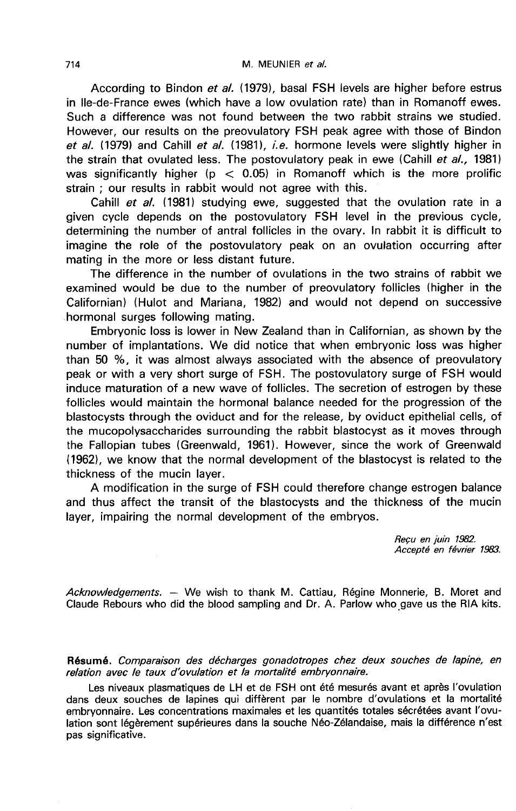#### M. MEUNIER et al.

According to Bindon et al. (1979), basal FSH levels are higher before estrus in Ile-de-France ewes (which have a low ovulation rate) than in Romanoff ewes. Such a difference was not found between the two rabbit strains we studied. However, our results on the preovulatory FSH peak agree with those of Bindon et al. (1979) and Cahill et al. (1981), i.e. hormone levels were slightly higher in the strain that ovulated less. The postovulatory peak in ewe (Cahill et al., 1981) was significantly higher ( $p < 0.05$ ) in Romanoff which is the more prolific strain ; our results in rabbit would not agree with this.

Cahill et al. (1981) studying ewe, suggested that the ovulation rate in a given cycle depends on the postovulatory FSH level in the previous cycle, determining the number of antral follicles in the ovary. In rabbit it is difficult to imagine the role of the postovulatory peak on an ovulation occurring after mating in the more or less distant future.

The difference in the number of ovulations in the two strains of rabbit we examined would be due to the number of preovulatory follicles (higher in the Californian) (Hulot and Mariana, 1982) and would not depend on successive hormonal surges following mating.

Embryonic loss is lower in New Zealand than in Californian, as shown by the number of implantations. We did notice that when embryonic loss was higher than 50 %, it was almost always associated with the absence of preovulatory peak or with a very short surge of FSH. The postovulatory surge of FSH would induce maturation of a new wave of follicles. The secretion of estrogen by these follicles would maintain the hormonal balance needed for the progression of the blastocysts through the oviduct and for the release, by oviduct epithelial cells, of the mucopolysaccharides surrounding the rabbit blastocyst as it moves through the Fallopian tubes (Greenwald, 1961). However, since the work of Greenwald (1962), we know that the normal development of the blastocyst is related to the thickness of the mucin layer.

A modification in the surge of FSH could therefore change estrogen balance and thus affect the transit of the blastocysts and the thickness of the mucin layer, impairing the normal development of the embryos.

> Reçu en juin 1982. Accepte en fevrier 1983.

 $Acknowledgements. - We wish to thank M. Cattiau, Régine Monnerie, B. Moret and$ Claude Rebours who did the blood sampling and Dr. A. Parlow who gave us the RIA kits.

Résumé. Comparaison des décharges gonadotropes chez deux souches de lapine, en relation avec le taux d'ovulation et la mortalité embryonnaire.

Les niveaux plasmatiques de LH et de FSH ont été mesurés avant et après l'ovulation dans deux souches de lapines qui diffèrent par le nombre d'ovulations et la mortalité embryonnaire. Les concentrations maximales et les quantités totales sécrétées avant l'ovulation sont légèrement supérieures dans la souche Néo-Zélandaise, mais la différence n'est pas significative.